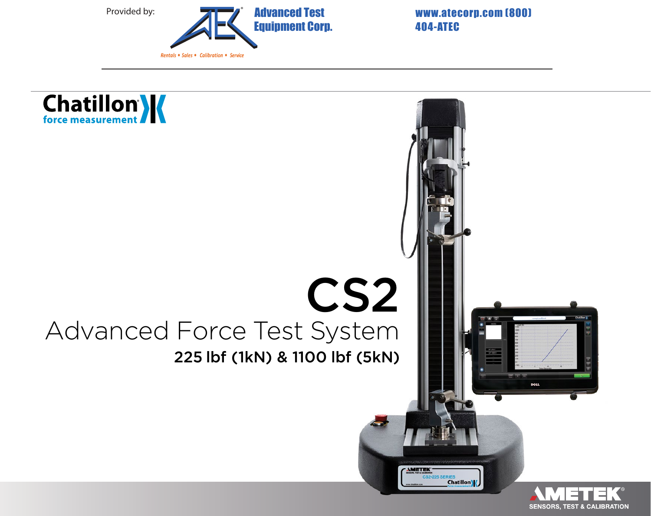

404-ATEC

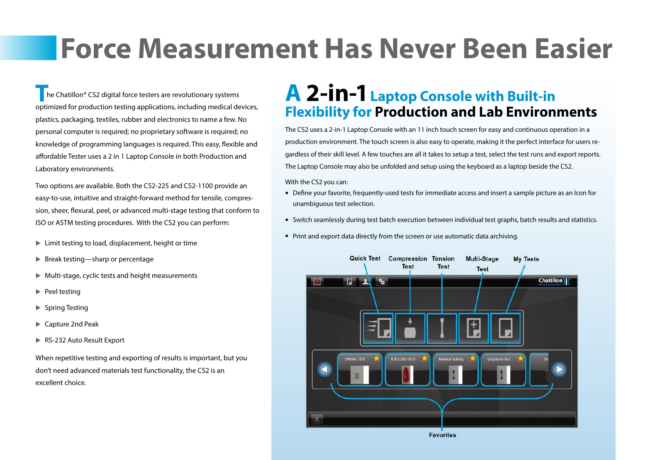# **Force Measurement Has Never Been Easier**

**T** he Chatillon® CS2 digital force testers are revolutionary systems optimized for production testing applications, including medical devices, plastics, packaging, textiles, rubber and electronics to name a few. No personal computer is required; no proprietary software is required; no knowledge of programming languages is required. This easy, flexible and affordable Tester uses a 2 in 1 Laptop Console in both Production and Laboratory environments.

Two options are available. Both the CS2-225 and CS2-1100 provide an easy-to-use, intuitive and straight-forward method for tensile, compression, sheer, flexural, peel, or advanced multi-stage testing that conform to ISO or ASTM testing procedures. With the CS2 you can perform:

- $\blacktriangleright$  Limit testing to load, displacement, height or time
- $\triangleright$  Break testing—sharp or percentage
- $\blacktriangleright$  Multi-stage, cyclic tests and height measurements
- $\blacktriangleright$  Peel testing
- ▶ Spring Testing
- ▶ Capture 2nd Peak
- ▶ RS-232 Auto Result Export

When repetitive testing and exporting of results is important, but you don't need advanced materials test functionality, the CS2 is an excellent choice.

# **A 2-in-1Laptop Console with Built-in Flexibility for Production and Lab Environments**

The CS2 uses a 2-in-1 Laptop Console with an 11 inch touch screen for easy and continuous operation in a production environment. The touch screen is also easy to operate, making it the perfect interface for users regardless of their skill level. A few touches are all it takes to setup a test, select the test runs and export reports. The Laptop Console may also be unfolded and setup using the keyboard as a laptop beside the CS2.

#### With the CS2 you can:

- Define your favorite, frequently-used tests for immediate access and insert a sample picture as an Icon for unambiguous test selection.
- Switch seamlessly during test batch execution between individual test graphs, batch results and statistics.
- Print and export data directly from the screen or use automatic data archiving.

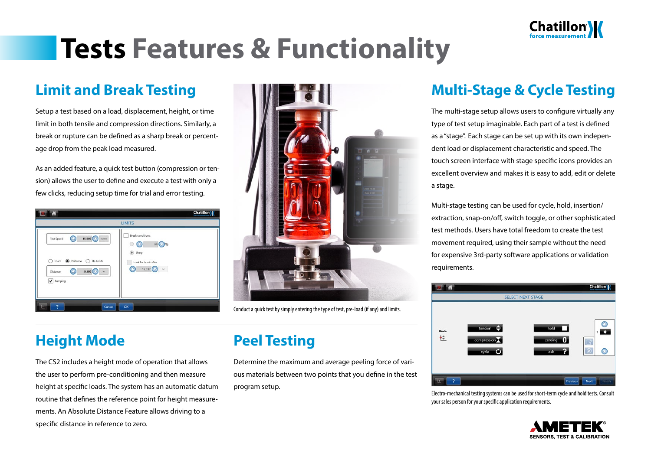

# **Tests Features & Functionality**

## **Limit and Break Testing**

Setup a test based on a load, displacement, height, or time limit in both tensile and compression directions. Similarly, a break or rupture can be defined as a sharp break or percentage drop from the peak load measured.

As an added feature, a quick test button (compression or tension) allows the user to define and execute a test with only a few clicks, reducing setup time for trial and error testing.





Conduct a quick test by simply entering the type of test, pre-load (if any) and limits.

## **Height Mode**

The CS2 includes a height mode of operation that allows the user to perform pre-conditioning and then measure height at specific loads. The system has an automatic datum routine that defines the reference point for height measurements. An Absolute Distance Feature allows driving to a specific distance in reference to zero.

## **Peel Testing**

Determine the maximum and average peeling force of various materials between two points that you define in the test program setup.

## **Multi-Stage & Cycle Testing**

The multi-stage setup allows users to configure virtually any type of test setup imaginable. Each part of a test is defined as a "stage". Each stage can be set up with its own independent load or displacement characteristic and speed. The touch screen interface with stage specific icons provides an excellent overview and makes it is easy to add, edit or delete a stage.

Multi-stage testing can be used for cycle, hold, insertion/ extraction, snap-on/off, switch toggle, or other sophisticated test methods. Users have total freedom to create the test movement required, using their sample without the need for expensive 3rd-party software applications or validation requirements.



Electro-mechanical testing systems can be used for short-term cycle and hold tests. Consult your sales person for your specific application requirements.

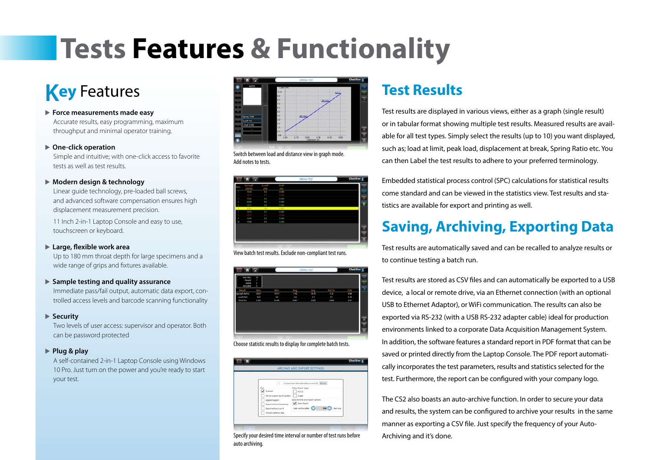# **Tests Features & Functionality**

# **Key** Features

 **Force measurements made easy**

Accurate results, easy programming, maximum throughput and minimal operator training.

#### **One-click operation**

Simple and intuitive; with one-click access to favorite tests as well as test results.

#### **Modern design & technology**

Linear guide technology, pre-loaded ball screws, and advanced software compensation ensures high displacement measurement precision.

11 Inch 2-in-1 Laptop Console and easy to use, touchscreen or keyboard.

#### **Large, flexible work area**

Up to 180 mm throat depth for large specimens and a wide range of grips and fixtures available.

#### **Sample testing and quality assurance**

Immediate pass/fail output, automatic data export, controlled access levels and barcode scanning functionality

#### ▶ Security

Two levels of user access: supervisor and operator. Both can be password protected

#### **Plug & play**

A self-contained 2-in-1 Laptop Console using Windows 10 Pro. Just turn on the power and you're ready to start your test.



Switch between load and distance view in graph mode. Add notes to tests.

|     | 同 音 同               |             |              | <b>SPRING TEST</b> | Chatillon      |
|-----|---------------------|-------------|--------------|--------------------|----------------|
| Run | SpringR<br>(Ibl/in) | LoadP<br>30 | DistP<br>ĮΑ, |                    |                |
| ٠   | 29.58               | 9.6         | 0.499        |                    |                |
|     |                     |             |              |                    | Ξ              |
| 3   | 19.52               | 96          | 0.500        |                    | ¢              |
| ×   | 30.08               | 9.6         | 0.500        |                    | -              |
| s   | 79.17               | 9.6         | 0.500        |                    | $\overline{8}$ |
| ٠   | 20.01               | 168         | 0.501        |                    |                |
| 7   | 19.74               | 92          | 0.500        |                    |                |
|     |                     |             |              |                    |                |
| ٠   | 19.40               | 96          | 0.500        |                    |                |
| tö  | 19.68               | 9.6         | 0.500        |                    |                |
|     |                     |             |              |                    | Ī              |
|     |                     |             |              |                    | 冒              |
|     |                     |             |              |                    | 區              |
|     |                     |             |              |                    |                |

View batch test results. Exclude non-compliant test runs.



Choose statistic results to display for complete batch tests.

| н<br>CSV<br>Enabled<br>Do not export result headers<br>Append export<br>Export without timestamp<br>Export without run #<br>Include statistics data | C'Wien/Joel Schoubert/Document/VCS Browse<br>Other Export Types<br><b>RS232</b><br>Graph <sup>1</sup><br>Auto Archive and Export Options<br>Ano-typert<br>Auto archive after<br>500<br>test runs |
|-----------------------------------------------------------------------------------------------------------------------------------------------------|--------------------------------------------------------------------------------------------------------------------------------------------------------------------------------------------------|

Specify your desired time interval or number of test runs before auto archiving.

## **Test Results**

Test results are displayed in various views, either as a graph (single result) or in tabular format showing multiple test results. Measured results are available for all test types. Simply select the results (up to 10) you want displayed, such as; load at limit, peak load, displacement at break, Spring Ratio etc. You can then Label the test results to adhere to your preferred terminology.

Embedded statistical process control (SPC) calculations for statistical results come standard and can be viewed in the statistics view. Test results and statistics are available for export and printing as well.

## **Saving, Archiving, Exporting Data**

Test results are automatically saved and can be recalled to analyze results or to continue testing a batch run.

Test results are stored as CSV files and can automatically be exported to a USB device, a local or remote drive, via an Ethernet connection (with an optional USB to Ethernet Adaptor), or WiFi communication. The results can also be exported via RS-232 (with a USB RS-232 adapter cable) ideal for production environments linked to a corporate Data Acquisition Management System. In addition, the software features a standard report in PDF format that can be saved or printed directly from the Laptop Console. The PDF report automatically incorporates the test parameters, results and statistics selected for the test. Furthermore, the report can be configured with your company logo.

The CS2 also boasts an auto-archive function. In order to secure your data and results, the system can be configured to archive your results in the same manner as exporting a CSV file. Just specify the frequency of your Auto-Archiving and it's done.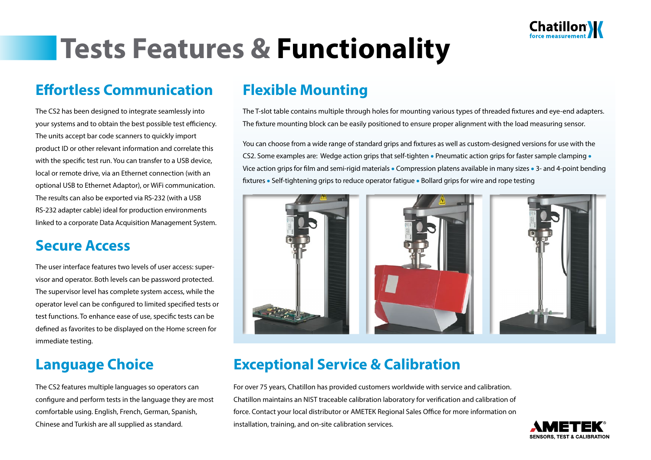

# **Tests Features & Functionality**

## **Effortless Communication**

The CS2 has been designed to integrate seamlessly into your systems and to obtain the best possible test efficiency. The units accept bar code scanners to quickly import product ID or other relevant information and correlate this with the specific test run. You can transfer to a USB device, local or remote drive, via an Ethernet connection (with an optional USB to Ethernet Adaptor), or WiFi communication. The results can also be exported via RS-232 (with a USB RS-232 adapter cable) ideal for production environments linked to a corporate Data Acquisition Management System.

### **Secure Access**

The user interface features two levels of user access: supervisor and operator. Both levels can be password protected. The supervisor level has complete system access, while the operator level can be configured to limited specified tests or test functions. To enhance ease of use, specific tests can be defined as favorites to be displayed on the Home screen for immediate testing.

## **Language Choice**

The CS2 features multiple languages so operators can configure and perform tests in the language they are most comfortable using. English, French, German, Spanish, Chinese and Turkish are all supplied as standard.

### **Flexible Mounting**

The T-slot table contains multiple through holes for mounting various types of threaded fixtures and eye-end adapters. The fixture mounting block can be easily positioned to ensure proper alignment with the load measuring sensor.

You can choose from a wide range of standard grips and fixtures as well as custom-designed versions for use with the CS2. Some examples are: Wedge action grips that self-tighten • Pneumatic action grips for faster sample clamping •<br>Vice action grips for film and semi-rigid materials • Compression platens available in many sizes • 3- and fixtures • Self-tightening grips to reduce operator fatigue • Bollard grips for wire and rope testing



## **Exceptional Service & Calibration**

For over 75 years, Chatillon has provided customers worldwide with service and calibration. Chatillon maintains an NIST traceable calibration laboratory for verification and calibration of force. Contact your local distributor or AMETEK Regional Sales Office for more information on installation, training, and on-site calibration services.

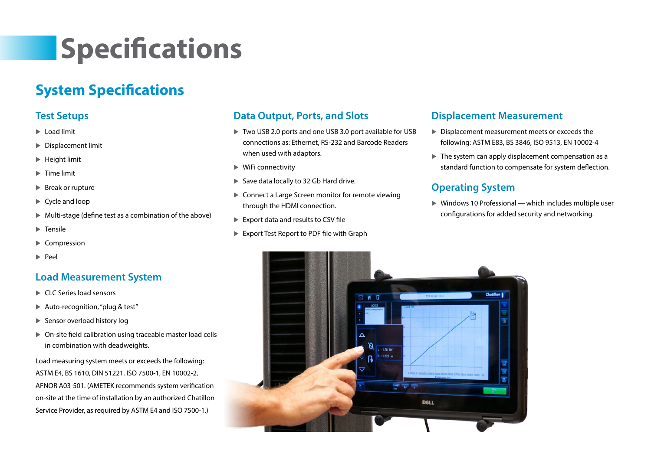# **Specifications**

## **System Specifications**

### **Test Setups**

- $\blacktriangleright$  Load limit
- Displacement limit
- $\blacktriangleright$  Height limit
- **Time limit**
- ▶ Break or rupture
- ▶ Cycle and loop
- $\blacktriangleright$  Multi-stage (define test as a combination of the above)
- $\blacktriangleright$  Tensile
- $\blacktriangleright$  Compression
- $\blacktriangleright$  Peel

### **Load Measurement System**

- CLC Series load sensors
- ▶ Auto-recognition, "plug & test"
- ▶ Sensor overload history log
- On-site field calibration using traceable master load cells in combination with deadweights.

Load measuring system meets or exceeds the following: ASTM E4, BS 1610, DIN 51221, ISO 7500-1, EN 10002-2, AFNOR A03-501. (AMETEK recommends system verification on-site at the time of installation by an authorized Chatillon Service Provider, as required by ASTM E4 and ISO 7500-1.)

#### **Data Output, Ports, and Slots**

- ▶ Two USB 2.0 ports and one USB 3.0 port available for USB connections as: Ethernet, RS-232 and Barcode Readers when used with adaptors.
- $\blacktriangleright$  WiFi connectivity
- ▶ Save data locally to 32 Gb Hard drive.
- ▶ Connect a Large Screen monitor for remote viewing through the HDMI connection.
- Export data and results to CSV file
- Export Test Report to PDF file with Graph

#### **Displacement Measurement**

- Displacement measurement meets or exceeds the following: ASTM E83, BS 3846, ISO 9513, EN 10002-4
- $\blacktriangleright$  The system can apply displacement compensation as a standard function to compensate for system deflection.

### **Operating System**

 $\triangleright$  Windows 10 Professional — which includes multiple user configurations for added security and networking.

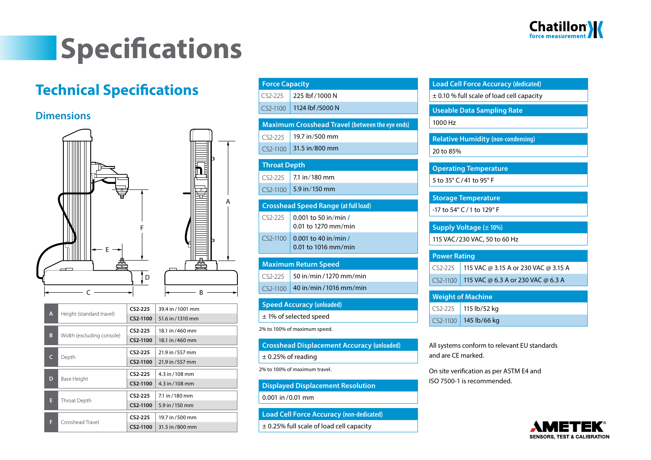

# **Specifications**

## **Technical Specifications**

#### **Dimensions**



| A | Height (standard travel) | $CS2-225$                 | 39.4 in / 1001 mm |                   |
|---|--------------------------|---------------------------|-------------------|-------------------|
|   |                          |                           | CS2-1100          | 51.6 in / 1310 mm |
|   |                          | $CS2-225$                 | 18.1 in /460 mm   |                   |
|   | B                        | Width (excluding console) | CS2-1100          | 18.1 in / 460 mm  |
|   | C                        | Depth                     | $CS2-225$         | 21.9 in / 557 mm  |
|   |                          |                           | CS2-1100          | 21.9 in / 557 mm  |
|   | D                        | Base Height               | $CS2-225$         | 4.3 in / 108 mm   |
|   |                          |                           | CS2-1100          | 4.3 in $/108$ mm  |
|   | E                        | Throat Depth              | $CS2-225$         | 7.1 in / 180 mm   |
|   |                          |                           | CS2-1100          | 5.9 in / 150 mm   |
|   | F                        | Crosshead Travel          | $CS2-225$         | 19.7 in /500 mm   |
|   |                          |                           | CS2-1100          | 31.5 in /800 mm   |

| <b>Force Capacity</b>                                  |                                             |  |  |  |  |
|--------------------------------------------------------|---------------------------------------------|--|--|--|--|
| $CS2-225$                                              | 225 lbf / 1000 N                            |  |  |  |  |
| CS2-1100                                               | 1124 lbf /5000 N                            |  |  |  |  |
| <b>Maximum Crosshead Travel (between the eye ends)</b> |                                             |  |  |  |  |
|                                                        |                                             |  |  |  |  |
| $C52-225$                                              | 19.7 in/500 mm                              |  |  |  |  |
| CS2-1100                                               | 31.5 in/800 mm                              |  |  |  |  |
|                                                        | <b>Throat Depth</b>                         |  |  |  |  |
| $CS2-225$                                              | 7.1 in/180 mm                               |  |  |  |  |
| CS2-1100                                               | 5.9 in/150 mm                               |  |  |  |  |
|                                                        |                                             |  |  |  |  |
|                                                        | <b>Crosshead Speed Range (at full load)</b> |  |  |  |  |
| $CS2-225$                                              | $0.001$ to 50 in/min /                      |  |  |  |  |
|                                                        | 0.01 to 1270 mm/min                         |  |  |  |  |
| CS2-1100                                               | 0.001 to 40 in/min /                        |  |  |  |  |
|                                                        | $0.01$ to 1016 mm/min                       |  |  |  |  |
|                                                        | <b>Maximum Return Speed</b>                 |  |  |  |  |
| $CS2-225$                                              | 50 in/min/1270 mm/min                       |  |  |  |  |
| CS2-1100                                               | 40 in/min/1016 mm/min                       |  |  |  |  |
|                                                        |                                             |  |  |  |  |
| <b>Speed Accuracy (unloaded)</b>                       |                                             |  |  |  |  |
| $±$ 1% of selected speed                               |                                             |  |  |  |  |
| 2% to 100% of maximum speed.                           |                                             |  |  |  |  |
| Crossboad Displacement Assurasy (unleaded)             |                                             |  |  |  |  |

**Relative Humidity (non-condensing)** 20 to 85% **Operating Temperature** 5 to 35° C /41 to 95° F **Storage Temperature** -17 to 54° C /1 to 129° F **Supply Voltage (± 10%)** 115 VAC/230 VAC, 50 to 60 Hz **Power Rating** CS2-225 115 VAC @ 3.15 A or 230 VAC @ 3.15 A CS2-1100 115 VAC @ 6.3 A or 230 VAC @ 6.3 A **Weight of Machine** CS2-225 115 lb/52 kg CS2-1100 145 lb/66 kg

**Load Cell Force Accuracy (dedicated)** ± 0.10 % full scale of load cell capacity

**Useable Data Sampling Rate**

1000 Hz

**Crosshead Displacement Accuracy (unloaded)**

± 0.25% of reading

A

#### 2% to 100% of maximum travel.

#### **Displayed Displacement Resolution**

0.001 in /0.01 mm

**Load Cell Force Accuracy (non-dedicated)**

± 0.25% full scale of load cell capacity

All systems conform to relevant EU standards and are CE marked.

On site verification as per ASTM E4 and ISO 7500-1 is recommended.